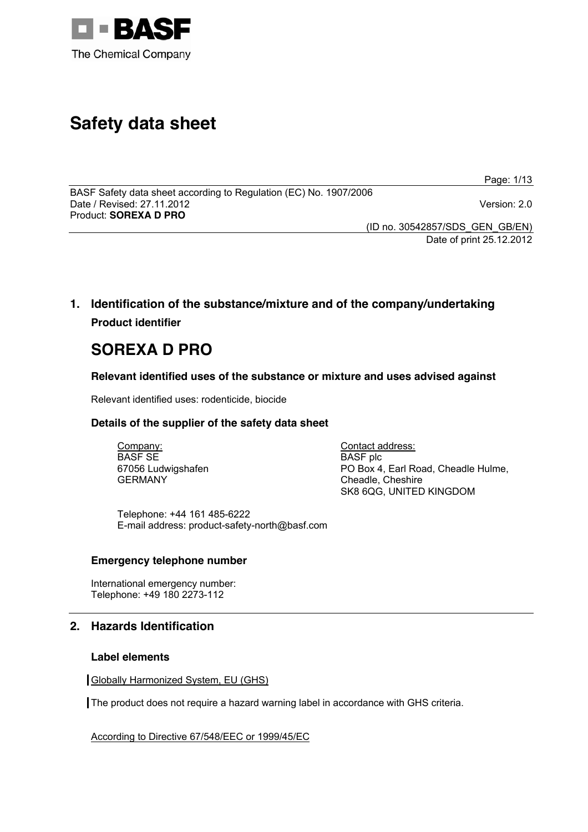

# **Safety data sheet**

Page: 1/13

BASF Safety data sheet according to Regulation (EC) No. 1907/2006 Date / Revised: 27.11.2012 Version: 2.0 Product: **SOREXA D PRO** 

(ID no. 30542857/SDS\_GEN\_GB/EN) Date of print 25.12.2012

# **1. Identification of the substance/mixture and of the company/undertaking Product identifier**

# **SOREXA D PRO**

# **Relevant identified uses of the substance or mixture and uses advised against**

Relevant identified uses: rodenticide, biocide

# **Details of the supplier of the safety data sheet**

Company: BASF SE 67056 Ludwigshafen GERMANY

Contact address: BASF plc PO Box 4, Earl Road, Cheadle Hulme, Cheadle, Cheshire SK8 6QG, UNITED KINGDOM

Telephone: +44 161 485-6222 E-mail address: product-safety-north@basf.com

# **Emergency telephone number**

International emergency number: Telephone: +49 180 2273-112

# **2. Hazards Identification**

# **Label elements**

Globally Harmonized System, EU (GHS)

The product does not require a hazard warning label in accordance with GHS criteria.

According to Directive 67/548/EEC or 1999/45/EC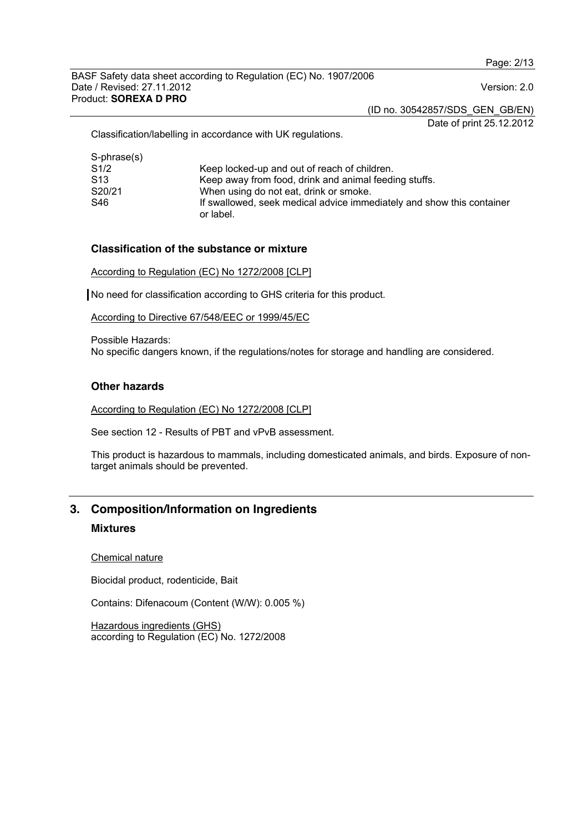(ID no. 30542857/SDS\_GEN\_GB/EN)

Date of print 25.12.2012

Classification/labelling in accordance with UK regulations.

| Keep locked-up and out of reach of children.                                       |
|------------------------------------------------------------------------------------|
| Keep away from food, drink and animal feeding stuffs.                              |
| When using do not eat, drink or smoke.                                             |
| If swallowed, seek medical advice immediately and show this container<br>or label. |
|                                                                                    |

#### **Classification of the substance or mixture**

According to Regulation (EC) No 1272/2008 [CLP]

No need for classification according to GHS criteria for this product.

According to Directive 67/548/EEC or 1999/45/EC

Possible Hazards: No specific dangers known, if the regulations/notes for storage and handling are considered.

## **Other hazards**

According to Regulation (EC) No 1272/2008 [CLP]

See section 12 - Results of PBT and vPvB assessment.

This product is hazardous to mammals, including domesticated animals, and birds. Exposure of nontarget animals should be prevented.

# **3. Composition/Information on Ingredients Mixtures**

Chemical nature

Biocidal product, rodenticide, Bait

Contains: Difenacoum (Content (W/W): 0.005 %)

Hazardous ingredients (GHS) according to Regulation (EC) No. 1272/2008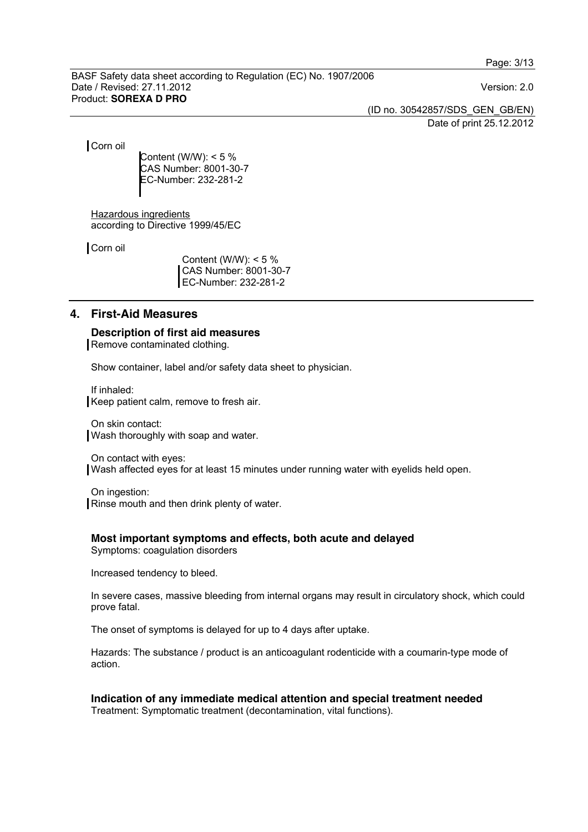(ID no. 30542857/SDS\_GEN\_GB/EN) Date of print 25.12.2012

Corn oil

Content (W/W):  $< 5 \%$ CAS Number: 8001-30-7 EC-Number: 232-281-2

Hazardous ingredients according to Directive 1999/45/EC

Corn oil

Content (W/W):  $< 5 \%$ CAS Number: 8001-30-7 EC-Number: 232-281-2

## **4. First-Aid Measures**

**Description of first aid measures**  Remove contaminated clothing.

Show container, label and/or safety data sheet to physician.

If inhaled: Keep patient calm, remove to fresh air.

On skin contact: Wash thoroughly with soap and water.

On contact with eyes:

Wash affected eyes for at least 15 minutes under running water with eyelids held open.

On ingestion: Rinse mouth and then drink plenty of water.

## **Most important symptoms and effects, both acute and delayed**

Symptoms: coagulation disorders

Increased tendency to bleed.

In severe cases, massive bleeding from internal organs may result in circulatory shock, which could prove fatal.

The onset of symptoms is delayed for up to 4 days after uptake.

Hazards: The substance / product is an anticoagulant rodenticide with a coumarin-type mode of action.

**Indication of any immediate medical attention and special treatment needed**  Treatment: Symptomatic treatment (decontamination, vital functions).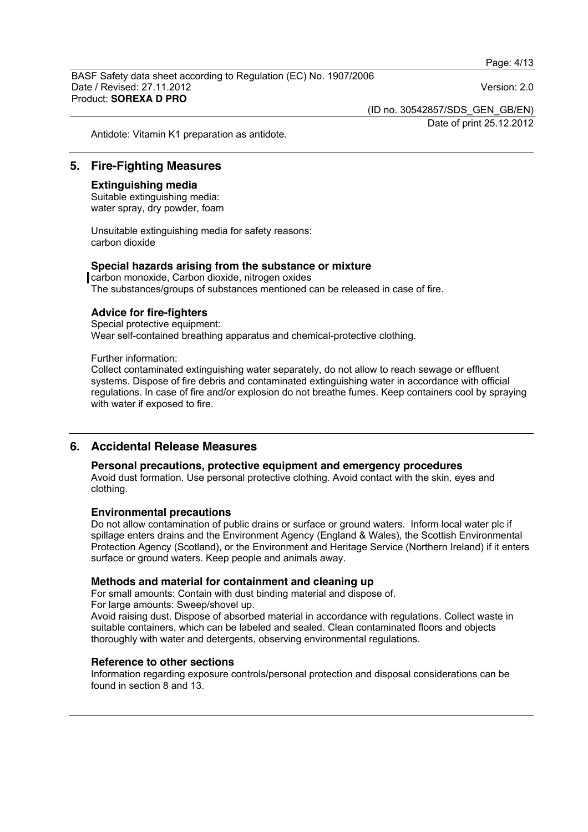(ID no. 30542857/SDS\_GEN\_GB/EN)

Date of print 25.12.2012

Antidote: Vitamin K1 preparation as antidote.

## **5. Fire-Fighting Measures**

#### **Extinguishing media**

Suitable extinguishing media: water spray, dry powder, foam

Unsuitable extinguishing media for safety reasons: carbon dioxide

#### **Special hazards arising from the substance or mixture**

carbon monoxide, Carbon dioxide, nitrogen oxides The substances/groups of substances mentioned can be released in case of fire.

## **Advice for fire-fighters**

Special protective equipment: Wear self-contained breathing apparatus and chemical-protective clothing.

Further information:

Collect contaminated extinguishing water separately, do not allow to reach sewage or effluent systems. Dispose of fire debris and contaminated extinguishing water in accordance with official regulations. In case of fire and/or explosion do not breathe fumes. Keep containers cool by spraying with water if exposed to fire.

## **6. Accidental Release Measures**

#### **Personal precautions, protective equipment and emergency procedures**

Avoid dust formation. Use personal protective clothing. Avoid contact with the skin, eyes and clothing.

#### **Environmental precautions**

Do not allow contamination of public drains or surface or ground waters. Inform local water plc if spillage enters drains and the Environment Agency (England & Wales), the Scottish Environmental Protection Agency (Scotland), or the Environment and Heritage Service (Northern Ireland) if it enters surface or ground waters. Keep people and animals away.

#### **Methods and material for containment and cleaning up**

For small amounts: Contain with dust binding material and dispose of.

For large amounts: Sweep/shovel up.

Avoid raising dust. Dispose of absorbed material in accordance with regulations. Collect waste in suitable containers, which can be labeled and sealed. Clean contaminated floors and objects thoroughly with water and detergents, observing environmental regulations.

## **Reference to other sections**

Information regarding exposure controls/personal protection and disposal considerations can be found in section 8 and 13.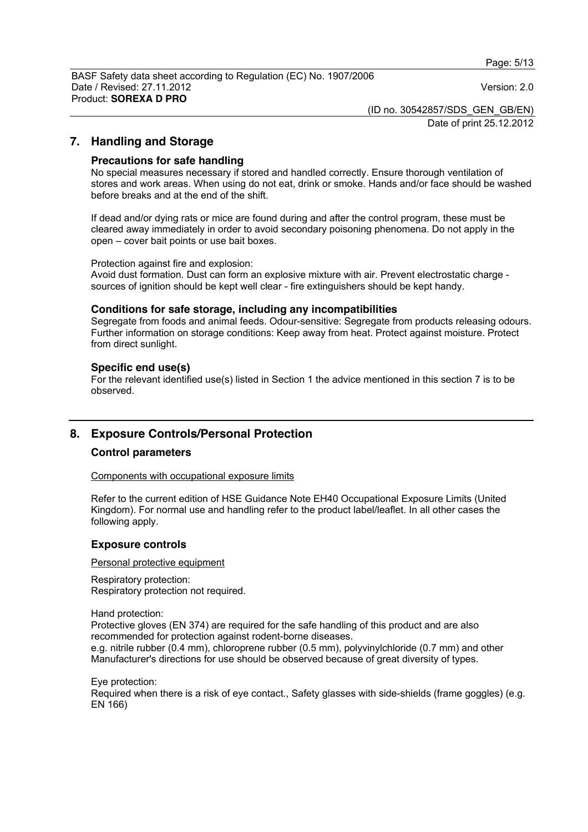(ID no. 30542857/SDS\_GEN\_GB/EN)

Date of print 25.12.2012

## **7. Handling and Storage**

#### **Precautions for safe handling**

No special measures necessary if stored and handled correctly. Ensure thorough ventilation of stores and work areas. When using do not eat, drink or smoke. Hands and/or face should be washed before breaks and at the end of the shift.

If dead and/or dying rats or mice are found during and after the control program, these must be cleared away immediately in order to avoid secondary poisoning phenomena. Do not apply in the open – cover bait points or use bait boxes.

Protection against fire and explosion:

Avoid dust formation. Dust can form an explosive mixture with air. Prevent electrostatic charge sources of ignition should be kept well clear - fire extinguishers should be kept handy.

#### **Conditions for safe storage, including any incompatibilities**

Segregate from foods and animal feeds. Odour-sensitive: Segregate from products releasing odours. Further information on storage conditions: Keep away from heat. Protect against moisture. Protect from direct sunlight.

#### **Specific end use(s)**

For the relevant identified use(s) listed in Section 1 the advice mentioned in this section 7 is to be observed.

# **8. Exposure Controls/Personal Protection**

#### **Control parameters**

Components with occupational exposure limits

Refer to the current edition of HSE Guidance Note EH40 Occupational Exposure Limits (United Kingdom). For normal use and handling refer to the product label/leaflet. In all other cases the following apply.

#### **Exposure controls**

#### Personal protective equipment

Respiratory protection: Respiratory protection not required.

Hand protection:

Protective gloves (EN 374) are required for the safe handling of this product and are also recommended for protection against rodent-borne diseases.

e.g. nitrile rubber (0.4 mm), chloroprene rubber (0.5 mm), polyvinylchloride (0.7 mm) and other Manufacturer's directions for use should be observed because of great diversity of types.

Eye protection:

Required when there is a risk of eye contact., Safety glasses with side-shields (frame goggles) (e.g. EN 166)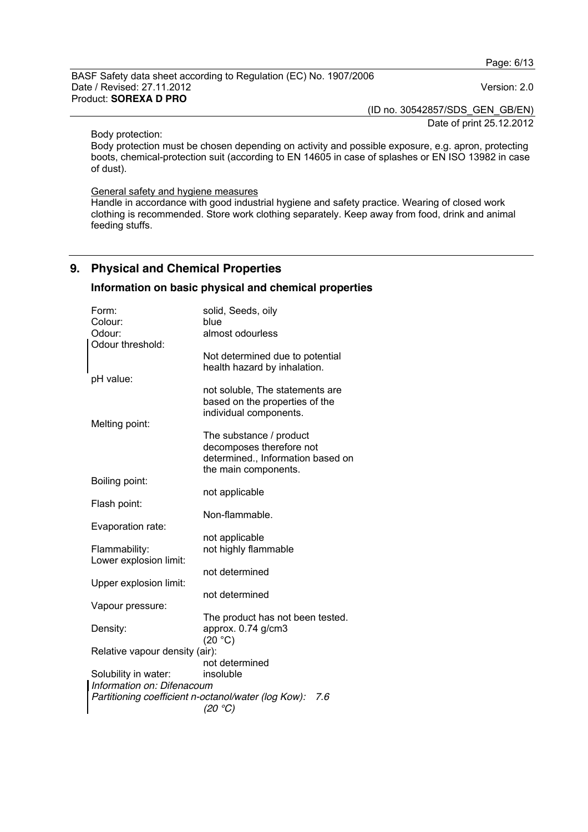(ID no. 30542857/SDS\_GEN\_GB/EN)

Date of print 25.12.2012

Body protection:

Body protection must be chosen depending on activity and possible exposure, e.g. apron, protecting boots, chemical-protection suit (according to EN 14605 in case of splashes or EN ISO 13982 in case of dust).

#### General safety and hygiene measures

Handle in accordance with good industrial hygiene and safety practice. Wearing of closed work clothing is recommended. Store work clothing separately. Keep away from food, drink and animal feeding stuffs.

# **9. Physical and Chemical Properties**

## **Information on basic physical and chemical properties**

| Form:<br>Colour:                                           | solid, Seeds, oily<br>blue                                                                                       |  |  |  |
|------------------------------------------------------------|------------------------------------------------------------------------------------------------------------------|--|--|--|
| Odour:                                                     | almost odourless                                                                                                 |  |  |  |
| Odour threshold:                                           | Not determined due to potential<br>health hazard by inhalation.                                                  |  |  |  |
| pH value:                                                  |                                                                                                                  |  |  |  |
| Melting point:                                             | not soluble, The statements are<br>based on the properties of the<br>individual components.                      |  |  |  |
|                                                            | The substance / product<br>decomposes therefore not<br>determined., Information based on<br>the main components. |  |  |  |
| Boiling point:                                             |                                                                                                                  |  |  |  |
|                                                            | not applicable                                                                                                   |  |  |  |
| Flash point:                                               | Non-flammable.                                                                                                   |  |  |  |
| Evaporation rate:                                          |                                                                                                                  |  |  |  |
|                                                            | not applicable                                                                                                   |  |  |  |
| Flammability:                                              | not highly flammable                                                                                             |  |  |  |
| Lower explosion limit:                                     | not determined                                                                                                   |  |  |  |
| Upper explosion limit:                                     |                                                                                                                  |  |  |  |
|                                                            | not determined                                                                                                   |  |  |  |
| Vapour pressure:                                           |                                                                                                                  |  |  |  |
| Density:                                                   | The product has not been tested.<br>approx. 0.74 g/cm3<br>(20 °C)                                                |  |  |  |
| Relative vapour density (air):                             |                                                                                                                  |  |  |  |
|                                                            | not determined                                                                                                   |  |  |  |
| Solubility in water:<br>Information on: Difenacoum         | insoluble                                                                                                        |  |  |  |
| Partitioning coefficient n-octanol/water (log Kow):<br>7.6 |                                                                                                                  |  |  |  |
| (20 °C)                                                    |                                                                                                                  |  |  |  |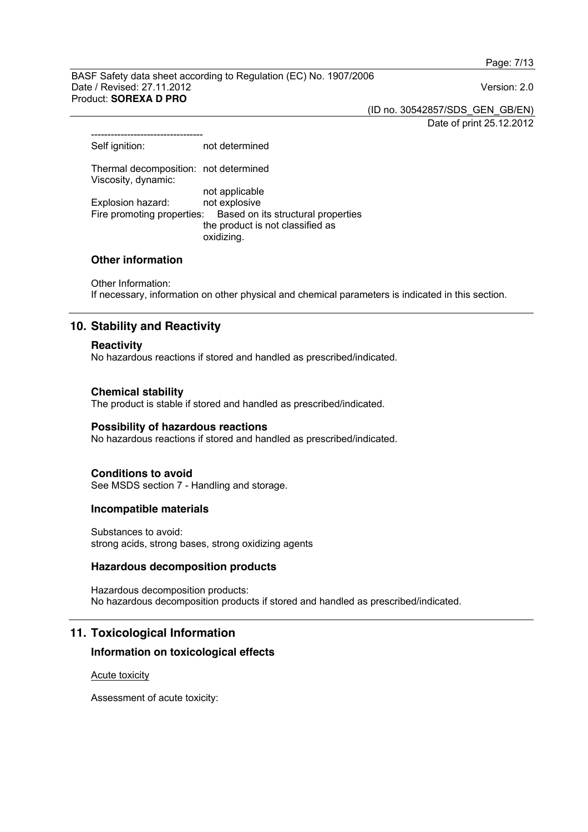Page: 7/13

BASF Safety data sheet according to Regulation (EC) No. 1907/2006 Date / Revised: 27.11.2012 Version: 2.0 Product: **SOREXA D PRO** 

(ID no. 30542857/SDS\_GEN\_GB/EN)

Date of print 25.12.2012

| Self ignition:                                               | not determined                                                                       |
|--------------------------------------------------------------|--------------------------------------------------------------------------------------|
| Thermal decomposition: not determined<br>Viscosity, dynamic: |                                                                                      |
|                                                              | not applicable                                                                       |
| Explosion hazard:                                            | not explosive                                                                        |
| Fire promoting properties:                                   | Based on its structural properties<br>the product is not classified as<br>oxidizing. |

# **Other information**

----------------------------------

Other Information: If necessary, information on other physical and chemical parameters is indicated in this section.

# **10. Stability and Reactivity**

## **Reactivity**

No hazardous reactions if stored and handled as prescribed/indicated.

## **Chemical stability**

The product is stable if stored and handled as prescribed/indicated.

## **Possibility of hazardous reactions**

No hazardous reactions if stored and handled as prescribed/indicated.

## **Conditions to avoid**

See MSDS section 7 - Handling and storage.

## **Incompatible materials**

Substances to avoid: strong acids, strong bases, strong oxidizing agents

## **Hazardous decomposition products**

Hazardous decomposition products: No hazardous decomposition products if stored and handled as prescribed/indicated.

# **11. Toxicological Information**

## **Information on toxicological effects**

Acute toxicity

Assessment of acute toxicity: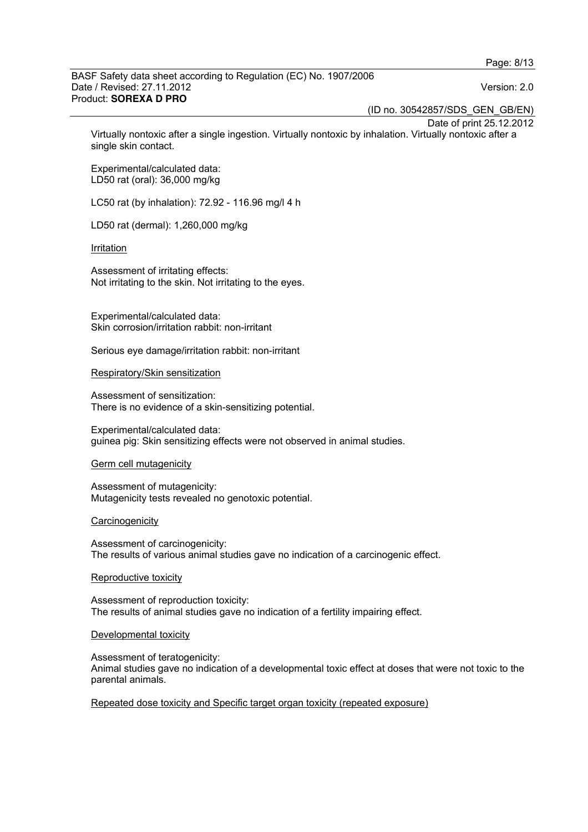(ID no. 30542857/SDS\_GEN\_GB/EN)

Date of print 25.12.2012 Virtually nontoxic after a single ingestion. Virtually nontoxic by inhalation. Virtually nontoxic after a single skin contact.

Experimental/calculated data: LD50 rat (oral): 36,000 mg/kg

LC50 rat (by inhalation): 72.92 - 116.96 mg/l 4 h

LD50 rat (dermal): 1,260,000 mg/kg

#### Irritation

Assessment of irritating effects: Not irritating to the skin. Not irritating to the eyes.

Experimental/calculated data: Skin corrosion/irritation rabbit: non-irritant

Serious eye damage/irritation rabbit: non-irritant

#### Respiratory/Skin sensitization

Assessment of sensitization: There is no evidence of a skin-sensitizing potential.

Experimental/calculated data: guinea pig: Skin sensitizing effects were not observed in animal studies.

#### Germ cell mutagenicity

Assessment of mutagenicity: Mutagenicity tests revealed no genotoxic potential.

#### **Carcinogenicity**

Assessment of carcinogenicity: The results of various animal studies gave no indication of a carcinogenic effect.

#### Reproductive toxicity

Assessment of reproduction toxicity: The results of animal studies gave no indication of a fertility impairing effect.

#### Developmental toxicity

Assessment of teratogenicity: Animal studies gave no indication of a developmental toxic effect at doses that were not toxic to the parental animals.

#### Repeated dose toxicity and Specific target organ toxicity (repeated exposure)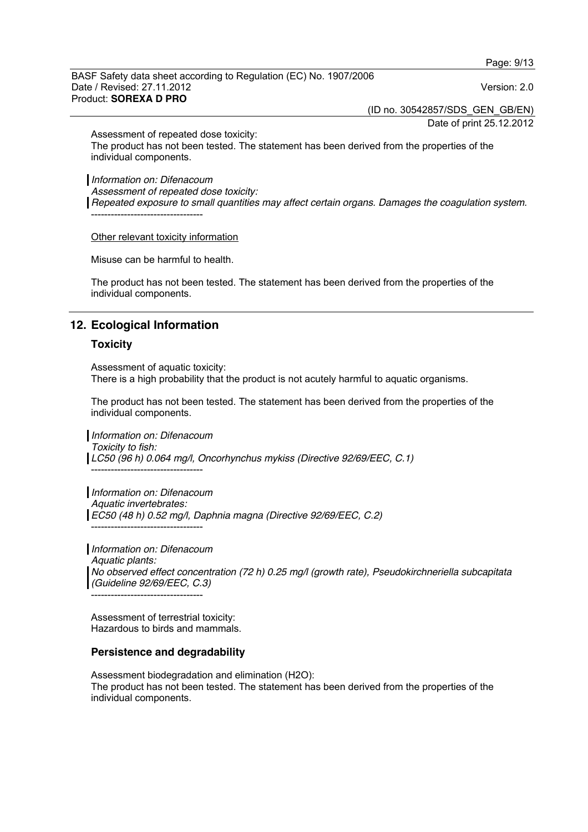(ID no. 30542857/SDS\_GEN\_GB/EN)

Date of print 25.12.2012

Assessment of repeated dose toxicity:

The product has not been tested. The statement has been derived from the properties of the individual components.

*Information on: Difenacoum* 

*Assessment of repeated dose toxicity:* 

*Repeated exposure to small quantities may affect certain organs. Damages the coagulation system.*  ----------------------------------

Other relevant toxicity information

Misuse can be harmful to health.

The product has not been tested. The statement has been derived from the properties of the individual components.

## **12. Ecological Information**

#### **Toxicity**

Assessment of aquatic toxicity: There is a high probability that the product is not acutely harmful to aquatic organisms.

The product has not been tested. The statement has been derived from the properties of the individual components.

*Information on: Difenacoum Toxicity to fish: LC50 (96 h) 0.064 mg/l, Oncorhynchus mykiss (Directive 92/69/EEC, C.1)*  ----------------------------------

*Information on: Difenacoum Aquatic invertebrates: EC50 (48 h) 0.52 mg/l, Daphnia magna (Directive 92/69/EEC, C.2)*  ----------------------------------

*Information on: Difenacoum Aquatic plants: No observed effect concentration (72 h) 0.25 mg/l (growth rate), Pseudokirchneriella subcapitata (Guideline 92/69/EEC, C.3)*  ----------------------------------

Assessment of terrestrial toxicity: Hazardous to birds and mammals.

#### **Persistence and degradability**

Assessment biodegradation and elimination (H2O): The product has not been tested. The statement has been derived from the properties of the individual components.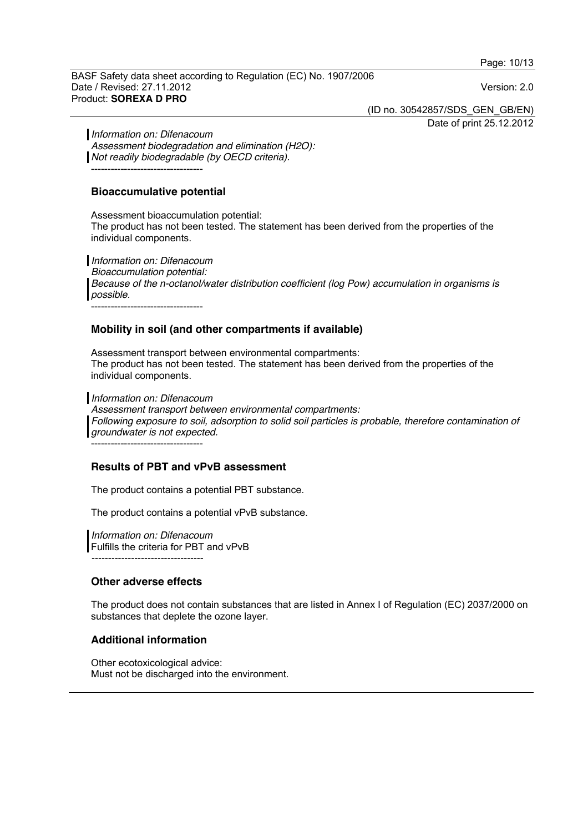Page: 10/13

BASF Safety data sheet according to Regulation (EC) No. 1907/2006 Date / Revised: 27.11.2012 Version: 2.0 Product: **SOREXA D PRO** 

(ID no. 30542857/SDS\_GEN\_GB/EN) Date of print 25.12.2012

*Information on: Difenacoum Assessment biodegradation and elimination (H2O): Not readily biodegradable (by OECD criteria).*  ----------------------------------

## **Bioaccumulative potential**

Assessment bioaccumulation potential: The product has not been tested. The statement has been derived from the properties of the individual components.

*Information on: Difenacoum Bioaccumulation potential: Because of the n-octanol/water distribution coefficient (log Pow) accumulation in organisms is possible.*  ----------------------------------

## **Mobility in soil (and other compartments if available)**

Assessment transport between environmental compartments: The product has not been tested. The statement has been derived from the properties of the individual components.

*Information on: Difenacoum* 

*Assessment transport between environmental compartments: Following exposure to soil, adsorption to solid soil particles is probable, therefore contamination of groundwater is not expected.*

----------------------------------

## **Results of PBT and vPvB assessment**

The product contains a potential PBT substance.

The product contains a potential vPvB substance.

*Information on: Difenacoum*  Fulfills the criteria for PBT and vPvB *----------------------------------* 

## **Other adverse effects**

The product does not contain substances that are listed in Annex I of Regulation (EC) 2037/2000 on substances that deplete the ozone layer.

# **Additional information**

Other ecotoxicological advice: Must not be discharged into the environment.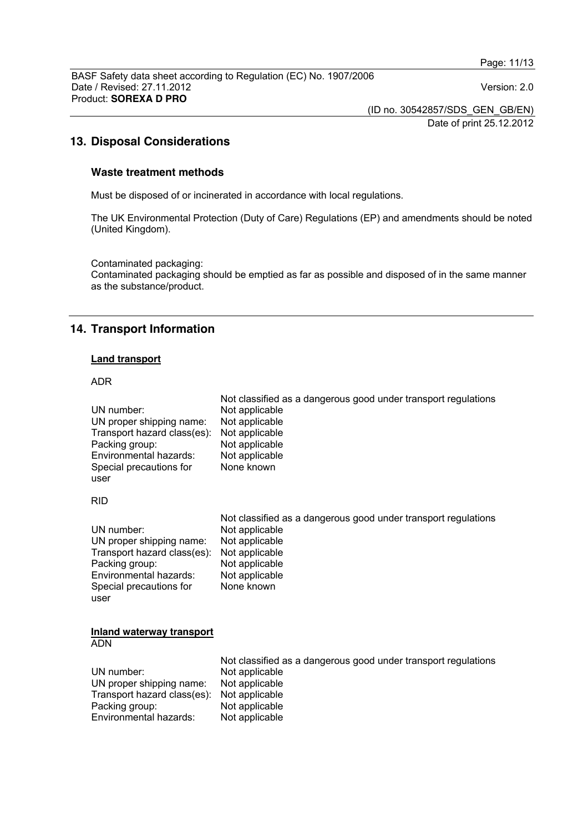(ID no. 30542857/SDS\_GEN\_GB/EN) Date of print 25.12.2012

# **13. Disposal Considerations**

#### **Waste treatment methods**

Must be disposed of or incinerated in accordance with local regulations.

The UK Environmental Protection (Duty of Care) Regulations (EP) and amendments should be noted (United Kingdom).

Contaminated packaging: Contaminated packaging should be emptied as far as possible and disposed of in the same manner as the substance/product.

# **14. Transport Information**

# **Land transport**

#### ADR

| UN number:<br>UN proper shipping name:<br>Transport hazard class(es):<br>Packing group:<br>Environmental hazards:<br>Special precautions for<br>user | Not classified as a dangerous good under transport regulations<br>Not applicable<br>Not applicable<br>Not applicable<br>Not applicable<br>Not applicable<br>None known |
|------------------------------------------------------------------------------------------------------------------------------------------------------|------------------------------------------------------------------------------------------------------------------------------------------------------------------------|
| <b>RID</b>                                                                                                                                           |                                                                                                                                                                        |
| UN number:<br>UN proper shipping name:<br>Transport hazard class(es):<br>Packing group:<br>Environmental hazards:<br>Special precautions for<br>user | Not classified as a dangerous good under transport regulations<br>Not applicable<br>Not applicable<br>Not applicable<br>Not applicable<br>Not applicable<br>None known |
| <b>Inland waterway transport</b><br>ADN                                                                                                              |                                                                                                                                                                        |
| UN number:<br>UN proper shipping name:<br>Transport hazard class(es):<br>Packing group:<br>Environmental hazards:                                    | Not classified as a dangerous good under transport regulations<br>Not applicable<br>Not applicable<br>Not applicable<br>Not applicable<br>Not applicable               |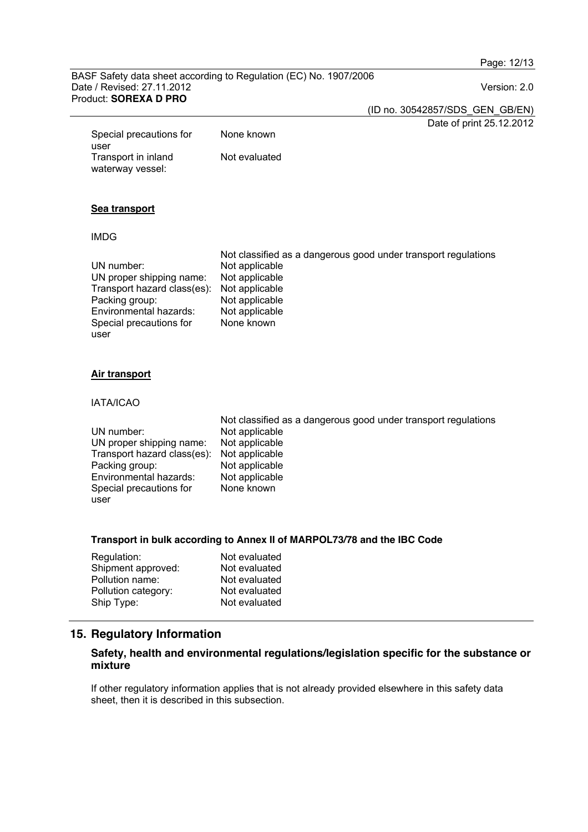Page: 12/13

BASF Safety data sheet according to Regulation (EC) No. 1907/2006 Date / Revised: 27.11.2012 Version: 2.0 Product: **SOREXA D PRO** 

(ID no. 30542857/SDS\_GEN\_GB/EN) Date of print 25.12.2012

Special precautions for user None known Transport in inland waterway vessel: Not evaluated

# **Sea transport**

## IMDG

|                             | Not classified as a dangerous good under transport regulations |
|-----------------------------|----------------------------------------------------------------|
| UN number:                  | Not applicable                                                 |
| UN proper shipping name:    | Not applicable                                                 |
| Transport hazard class(es): | Not applicable                                                 |
| Packing group:              | Not applicable                                                 |
| Environmental hazards:      | Not applicable                                                 |
| Special precautions for     | None known                                                     |
| user                        |                                                                |

## **Air transport**

#### IATA/ICAO

|                                            | Not classified as a dangerous good under transport regulations |
|--------------------------------------------|----------------------------------------------------------------|
| UN number:                                 | Not applicable                                                 |
| UN proper shipping name:                   | Not applicable                                                 |
| Transport hazard class(es): Not applicable |                                                                |
| Packing group:                             | Not applicable                                                 |
| Environmental hazards:                     | Not applicable                                                 |
| Special precautions for                    | None known                                                     |
| user                                       |                                                                |

#### **Transport in bulk according to Annex II of MARPOL73/78 and the IBC Code**

| Regulation:         | Not evaluated |
|---------------------|---------------|
| Shipment approved:  | Not evaluated |
| Pollution name:     | Not evaluated |
| Pollution category: | Not evaluated |
| Ship Type:          | Not evaluated |

# **15. Regulatory Information**

## **Safety, health and environmental regulations/legislation specific for the substance or mixture**

If other regulatory information applies that is not already provided elsewhere in this safety data sheet, then it is described in this subsection.